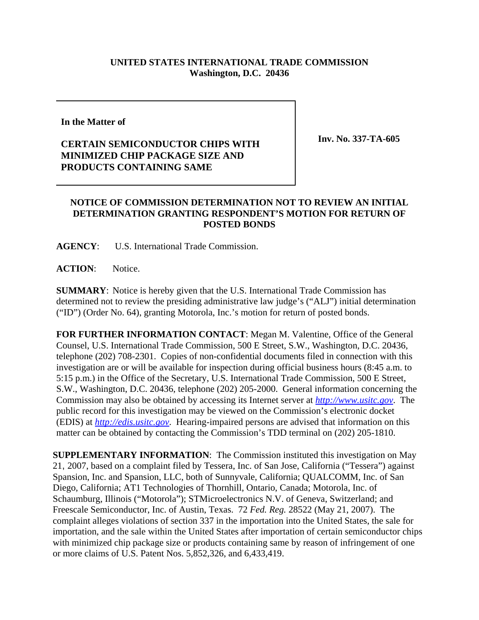## **UNITED STATES INTERNATIONAL TRADE COMMISSION Washington, D.C. 20436**

## **In the Matter of**

## **CERTAIN SEMICONDUCTOR CHIPS WITH MINIMIZED CHIP PACKAGE SIZE AND PRODUCTS CONTAINING SAME**

**Inv. No. 337-TA-605**

## **NOTICE OF COMMISSION DETERMINATION NOT TO REVIEW AN INITIAL DETERMINATION GRANTING RESPONDENT'S MOTION FOR RETURN OF POSTED BONDS**

**AGENCY**: U.S. International Trade Commission.

**ACTION**: Notice.

**SUMMARY**: Notice is hereby given that the U.S. International Trade Commission has determined not to review the presiding administrative law judge's ("ALJ") initial determination ("ID") (Order No. 64), granting Motorola, Inc.'s motion for return of posted bonds.

**FOR FURTHER INFORMATION CONTACT**: Megan M. Valentine, Office of the General Counsel, U.S. International Trade Commission, 500 E Street, S.W., Washington, D.C. 20436, telephone (202) 708-2301. Copies of non-confidential documents filed in connection with this investigation are or will be available for inspection during official business hours (8:45 a.m. to 5:15 p.m.) in the Office of the Secretary, U.S. International Trade Commission, 500 E Street, S.W., Washington, D.C. 20436, telephone (202) 205-2000. General information concerning the Commission may also be obtained by accessing its Internet server at *http://www.usitc.gov*. The public record for this investigation may be viewed on the Commission's electronic docket (EDIS) at *http://edis.usitc.gov*. Hearing-impaired persons are advised that information on this matter can be obtained by contacting the Commission's TDD terminal on (202) 205-1810.

**SUPPLEMENTARY INFORMATION**: The Commission instituted this investigation on May 21, 2007, based on a complaint filed by Tessera, Inc. of San Jose, California ("Tessera") against Spansion, Inc. and Spansion, LLC, both of Sunnyvale, California; QUALCOMM, Inc. of San Diego, California; AT1 Technologies of Thornhill, Ontario, Canada; Motorola, Inc. of Schaumburg, Illinois ("Motorola"); STMicroelectronics N.V. of Geneva, Switzerland; and Freescale Semiconductor, Inc. of Austin, Texas. 72 *Fed. Reg.* 28522 (May 21, 2007). The complaint alleges violations of section 337 in the importation into the United States, the sale for importation, and the sale within the United States after importation of certain semiconductor chips with minimized chip package size or products containing same by reason of infringement of one or more claims of U.S. Patent Nos. 5,852,326, and 6,433,419.